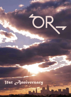# 31st Anniversary

**IITE** 

OR.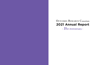# **2021 Annual Report** OUTCOMES RESEARCH Consortium - 31st Anniversary -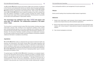The OUTCOMES RESEARCH Group was formed in 1990 at the University of California in San Francisco and subsequently became an institute when the group's administrative center moved to the University of Louisville in March of 2000. In 2005, OUTCOMES RESEARCH became a department at the Cleveland Clinic. After 15 years, the Department of OUTCOMES RESEARCH now includes 65 members at the Clinic, among more than 190 academic investigators in twenty countries including the Austria, Canada, China, Ireland, Israel, Japan, China, and the United States. The Consortium is non-profit; its only goal is thus participation in high-quality research.

## The Consortium has published more than 1,600 full papers and more than 80 editorials. The collaboration publishes a full paper every 3 days.

The Consortium is currently involved in about 150 clinical studies, including many large multi-center outcome trials. Funding for the Consortium's funding is from various peer-reviewed granting agencies, and we also collaborate with companies that make innovative devices and drugs, often conducting major trials that lead to regulatory certification. The Consortium facilitates scientific exchange and collaboration necessary for technically complex outcomes studies involving hundreds or thousands of patients. Additional information is available at www.OR.org.

## Aspirations

- number times impact) than any other anesthesia organization.
- subjects.
- **3** Train clinical investigators at all levels.

2 Recruit more extra-mural clinical research funding than any other anesthesia organization, with "clinical research" being defined as research conducted with human

OUTCOMES RESEARCH seeks to understand the end results of particular health care practices and interventions. End results include effects that people experience and care about, such as change in the ability to function. In particular, for individuals with chronic conditions—where cure is not always possible—end results include quality of life as well as mortality. By linking the care people get to the outcomes they experience, OUTCOMES RESEARCH has become the key to developing better ways to monitor and improve the quality of care.

The general goal of the OUTCOMES RESEARCH Consortium is to evaluate inexpensive, low-risk interventions that are easy to implement yet likely to markedly improve outcome. For example, we have shown that simply maintaining intraoperative normothermia markedly reduces the risk of co mplications — and does so at trivial cost. A consequence of our work is that active intraoperative warming has become routine, whereas it was previously rare. Current focus areas include cardiovascular complica-

**OUTCOMES RESEARCH Consortium** 5 **5** 

tions, postoperative delirium, and management of acute surgical pain.

## Mission

Be the world's leading clinical anesthesia-related research organization.

## **Behaviors**

Publish more high-impact, peer-reviewed clinical research papers (quantified as 1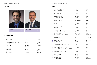## Members

- 1 Alaa A. Abd-Elsayed, M.D.
- 2 Basem B. Abdelmalak, M.D.
- 3 Janet Adegboye, M.D.
- 4 Sanchit Ahuja, M.D.
- 5 Wael Ali Sakr Esa, M.D.
- 6 Federico Almonacid, MD
- 7 Jorge Andres Araujo Duran, M.D.
- 8 Harendra Arora, M.D.
- 9 Valentina Assenzo, M.D.
- 10 Abdulkadir Atim, M.D.
- 11 Sabry Ayad, M.D.
- 12 Rovnat Babazade, M.D.
- 13 Gausan Bajracharya, M.D.
- 14 Omer Bakal, M.D.
- 15 Karsten Bartels, MD, PhD, MBA
- 16 Allen Bashour, M.D.
- 17 Beatrice Beck-Schimmer, MD
- 18 Sergio D. Bergese, M.D.
- 19 Bruce M. Biccard, M.B.Ch.B., F.C.A., F.F.A.R.C.S.I., M.Med.Sc, Ph.D.
- 20 Peter Biro, M.D.
- 21 Joshua A. Bloomstone, M.D., M.Sc
- 22 Hagen Bomberg, M.D.
- 23 Mauro Bravo, M.D.
- 24 Jack Brooker, MD
- 25 Donal J. Buggy, M.D., FRCPI, FRCACSI, FRCA
- 26 Juan Cata, M.D.
- 27 Praveen Chahar, M.D., F.C.A.R.C.S.I.
- 28 Athanasios F. Chalkias, MD, MSc, PhD, FESC, FAcadTM, FCP
- 29 Surendrasingh S. Chhabada, M.D.
- 30 Anne Cipriani
- 31 Barak Cohen, M.D.
- 32 Allen Collins
- 33 Jacek B. Cywinski, M.D.
- 34 Albert Dahan, MD
- 35 Jarrod E. Dalton, Ph.D.

## 2021 Site Directors

## Personnel



Director Daniel I. Sessler MD, Cleveland



Vice-director Alparslan Turan MD, Cleveland

| Madison            | USA          |
|--------------------|--------------|
| Cleveland          | <b>USA</b>   |
| <b>Baltimore</b>   | <b>USA</b>   |
| Detroit            | <b>USA</b>   |
| Cleveland          | <b>USA</b>   |
| Cleveland          | <b>USA</b>   |
| Cleveland          | <b>USA</b>   |
| <b>Chapel Hill</b> | <b>USA</b>   |
| Suresnes, Paris    | France       |
| Ankara             | Turkey       |
| Cleveland          | <b>USA</b>   |
| Galveston          | <b>USA</b>   |
| Cleveland          | <b>USA</b>   |
| Cleveland          | <b>USA</b>   |
| Omaha              | <b>USA</b>   |
| Cleveland          | <b>USA</b>   |
| Zurich             | Switzerland  |
| <b>Stony Brook</b> | <b>USA</b>   |
| Cape Town          | South Africa |
|                    |              |
| Zurich             | Switzerland  |
| Glendale           | <b>USA</b>   |
| Zurich             | Switzerland  |
| Cleveland          | USA          |
| Cleveland          | USA          |
| Dublin             | Ireland      |
| Houston            | <b>USA</b>   |
| Cleveland          | USA          |
| Larisa             | Greece       |
|                    |              |
| Cleveland          | <b>USA</b>   |
| Cleveland          | <b>USA</b>   |
| <b>Tel Aviv</b>    | Israel       |
| Cleveland          | USA          |
| Cleveland          | <b>USA</b>   |
| Leiden             | Netherlands  |
| Cleveland          | USA          |

Donal Buggy Peter Szmuk Yuguang Huang, Dongxin Wang Thomas Volk Colin Royse Brian Ilfeld PJ Devereaux Barak Cohen Ngai Liu Bernd Saugel

Dublin Dallas Beijing Homburg Melbourne San Diego Hamilton Tel Aviv Paris Hamburg

Ireland USA China Germany Australia USA Canada Israel France Germany

**OUTCOMES RESEARCH Consortium** 7 **6 OUTCOMES RESEARCH Consortium** 7 **7**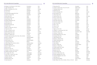| 36 Gildasio S. De Oliveira Jr., M.D., M.S.C.I.        | Providence       |
|-------------------------------------------------------|------------------|
| 37 Jagan Devarajan, MD                                | Cleveland        |
| 38 Philip J. Devereaux, M.D., Ph.D.                   | Hamilton         |
| 39 Aimee Drury                                        | Cleveland        |
| 40 Lei Du, M.D.                                       | Chengdu          |
| 41 Emmanuelle Duceppe, MD., Ph.D.                     | Montreal         |
| 42 Andra E. Duncan, M.D.                              | Cleveland        |
| 43 Ruthy Edry, M.D.                                   | Haifa            |
| 44 Proshad N. Efune, M.D.                             | Dallas           |
| 45 Elyad Ekrami, MD                                   | Cleveland        |
| 46 Hesham Elsharkawy, M.D.                            | Cleveland        |
| 47 Okan Ermis, M.D.                                   | Cleveland        |
| 48 Hani Essber, M.D.                                  | Cleveland        |
| 49 Stephanie Ezeoke, BS                               | Cleveland        |
| 50 Tibi Ezri, M.D.                                    | Tel Aviv         |
| 51 Ehab S.A. Farag, M.D., F.R.C.A.                    | Cleveland        |
| 52 Tobias Fink, M.D.                                  | Homburg          |
| 53 John J. Finneran IV, M.D.                          | San Diego        |
| 54 Edith Fleischmann, M.D.                            | Vienna           |
| 55 Bela Fulesdi, M.D., Ph.D.                          | Debrecen         |
| 56 Rodney A. Gabriel, M.D.                            | La Jolla         |
| 57 Marcelo Gama de Abreu, M.D., M.Sc., Ph.D., D.E.S.A | Cleveland        |
| 58 Martin V. Grady, M.D.                              | Mayfield Heights |
| 59 Yanyan Han, MS                                     | Cleveland        |
| 60 Manal Hassan, M.D.                                 | Mayfield Heights |
| 61 Yuguang Huang, M.D.                                | <b>Beijing</b>   |
| 62 Tobias Hüppe, M.D., D.E.S.A., E.D.I.C.             | Homburg (Saar)   |
| 63 Takehiko Ikeda, M.D.                               | Tokorozawa       |
| 64 Brian M. Ilfeld, M.D., M.S.                        | San Diego        |
| 65 Ilker Ince, MD                                     | Erzurum          |
| 66 Steven R. Insler, D.O.                             | Cleveland        |
| 67 Daniela C. Ionescu, Ph.D., D.E.A.A.                | Cluj-Napoca      |
| 68 Tadahiko Ishiyama, M.D., Ph.D.                     | Chuo             |
| 69 Pia Jaeger, M.D., Ph.D.                            | Copenhagen       |
| 70 Jens-Ulrik S. Jensen, M.D., Ph.D.                  | Copenhagen       |
| 71 Qiliang Jiang, M.D., Ph.D.                         | Shanghai         |
| 72 Roberta Johnson                                    | Cleveland        |
| 73 Barbara Kabon, M.D.                                | Vienna           |
| 74 Tyler Karras, DO                                   | Cleveland        |

| 75 Roop Kaw, M.D.                                |  |
|--------------------------------------------------|--|
| 76 Ashish K. Khanna, M.D., F.C.C.P., F.C.C.M.    |  |
| 77 Sandeep Khanna, M.D.                          |  |
| 78 Daniel Kim, M.D.                              |  |
| 79 Oliver Kimberger, M.D.                        |  |
| 80 Ryu Komatsu, M.D.                             |  |
| 81 Orkun Kopac, MD                               |  |
| 82 Sascha Kreuer, M.D.                           |  |
| 83 Priya A. Kumar, M.D.                          |  |
| 84 Andrea M. Kurz, M.D.                          |  |
| 85 Esra Kutlu Yalcin, M.D.                       |  |
| 86 Giovanni Landoni, M.D.                        |  |
| 87 Kai Li, M.D., Ph.D.                           |  |
| 88 Qian Li, M.D.                                 |  |
| 89 Jing Lin, M.D.                                |  |
| 90 Liu Liu, M.A.                                 |  |
| 91 Ngai Liu, M.D., Ph.D.                         |  |
| 92 Vladimir V. Lomivorotov, M.D., Ph.D.          |  |
| 93 Dominik Lorenz, M.D.                          |  |
| 94 Anthony T. Machi, M.D.                        |  |
| 95 Kamal Maheshwari, M.D., M.P.H.                |  |
| 96 Guangmei Mao, M.S.                            |  |
| 97 Metty Markwei, B.S.                           |  |
| 98 Edward J. Mascha, Ph.D.                       |  |
| 99 Takashi Matsukawa, M.D.                       |  |
| 100 Felix Maurer, B.S.                           |  |
| 101 Mark Mettler                                 |  |
| 102 Scott A. Miller, M.D.                        |  |
| 103 Steven C. Minear, MD                         |  |
| 104 Toshiki Mizobe, M.D., Ph.D.                  |  |
| 105 Mateo Montalvo, M.D.                         |  |
| 106 Eassen Mu, M.D.                              |  |
| 107 Carolin Müller, M.D.                         |  |
| 108 Lukas M. Müller-Wirtz, M.D.                  |  |
| 109 Yasuko Nagasaka, M.D., Ph.D.                 |  |
| 110 Yasufumi Nakajima, M.D., Ph.D.               |  |
| 111 Rod Nault, M.S.                              |  |
| 112 Tyng Yan Ng, M.B.B.S.                        |  |
| 113 Ben O'Brien, M.D., Ph.D., M.H.B.A., F.R.C.A. |  |

USA USA

| Cleveland            | USA        |
|----------------------|------------|
| Wake Forest          | USA        |
| Cleveland            | USA        |
| Houston              | <b>USA</b> |
| Vienna               | Austria    |
| <b>Baltimore</b>     | <b>USA</b> |
| Cleveland            | <b>USA</b> |
| Homburg              | Germany    |
| Chapel Hill          | USA        |
| Cleveland            | USA        |
| Cleveland            | USA        |
| Milan                | Italy      |
| Cleveland            | <b>USA</b> |
| Chengdu              | China      |
| Chengdu              | China      |
| Cleveland            | <b>USA</b> |
| Suresnes             | France     |
| Novosibirsk          | Russia     |
| Homburg / Saar       | Germany    |
| Dallas               | USA        |
| Cleveland            | USA        |
| Cleveland            | USA        |
| <b>Baltimore</b>     | <b>USA</b> |
| Cleveland            | <b>USA</b> |
| Chuo                 | Japan      |
| Homburg              | Germany    |
| Cleveland            | USA        |
| <b>Winston Salem</b> | USA        |
| Weston               | USA        |
| Kyoto                | Japan      |
| Cleveland            | USA        |
| <b>Beijing</b>       | China      |
| Homburg              | Germany    |
| Homburg              | Germany    |
| Tokyo                | Japan      |
| Hirakata             | Japan      |
| Cleveland            | USA        |
| Kuala Lumpur         | Malaysia   |
| <b>Berlin</b>        | Germany    |

Canada USA China Canada USA Israel USA USA USA USA USA USA Israel USA

 $A.$ , F.F.I.C.M.

Germany

USA Austria Hungary USA USA USA USA USA China

Germany Japan USA Turkey USA

Romania Japan Denmark Denmark China USA Austria USA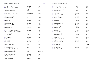| 114 Beth O'Brien, B.S.                           |
|--------------------------------------------------|
| 115 Detlef E.R. Obal, M.D., Ph.D., D.E.S.A.      |
| 116 Ibrahim Onal, M.D.                           |
| 117 Makoto Ozaki, M.D., Ph.D.                    |
| 118 Matt A. Pappas, M.D., M.P.H.                 |
| 119 Marie-Odile Parat, Pharm.D., Ph.D.           |
| 120 Lijian Pei, M.D.                             |
| 121 Silvia E. Perez-Protto, M.D., M.S.           |
| 122 Olga M. Plattner, M.D.                       |
| 123 Attila Podolyak, M.D.                        |
| 124 Xuan Pu, M.S.                                |
| 125 Yuwei Qiu, M.D.                              |
| 126 Shobana Rajan, M.D.                          |
| 127 Christian Reiterer, MD                       |
| 128 David A. Rincon-Valenzuela, M.D., M.Sc.      |
| 129 Eva Rivas Ferreira, M.D.                     |
| 130 Efrain Riveros-Perez, M.D.                   |
| 131 Fabio A. Rodriguez-Patarroyo, M.D.           |
| 132 Reitze N. Rodseth, M.B.Ch.B., F.C.A., M.Med. |
| 133 Julian V. Rossler, M.D.                      |
| 134 Colin Royse, M.D.                            |
| 135 Kurt Ruetzler, M.D.                          |
| 136 Remie Saab, M.D.                             |
| 137 Leif Saager, M.D.                            |
| 138 Wael Saasouh, M.D.                           |
| 139 Ogena Saied                                  |
| 140 Vafi Salmasi, M.D.                           |
| 141 Ethan L. Sanford, M.D.                       |
| 142 Bernd Saugel, M.D. E.D.I.C.                  |
|                                                  |
| 143 Rita Saynhalath, M.D.                        |
| 144 Yehoshua-Nadav Schacham, M.D.                |
| 145 Eitan Scher Nemirovsky, MD                   |
| 146 Martin Schlapfer, M.D., M.Sc.                |
| 147 Marc Schmidt, M.D.                           |
| 148 Gokhan Sertcakacilar, MD                     |
| 149 Daniel I. Sessler, M.D.                      |
| 150 Karan Shaw, M.S.                             |

152 Alexis Skolaris

Cleveland Palo Alto Konya Tokyo Cleveland Woolloongabba Beijing Cleveland Vienna Cleveland Cleveland Shanghai Cleveland Vienna Bogot√° Barcelona Augusta Cleveland Durban Zurich Melbourne Cleveland Cleveland Goettinghen Detroit Cleveland Palo Alto Dallas Hamburg Dallas Ramat-Gan Cleveland Zurich Zurich Cleveland Cleveland Cleveland Tokorozawa Cleveland

|  | 153 Jeff W. Steiner, D.O.           |
|--|-------------------------------------|
|  | 154 Matthew W. Swisher, M.D., M.S.  |
|  | 155 Wojciech Szczeklik, M.D., Ph.D. |
|  | 156 Peter Szmuk, M.D.               |
|  | 157 Abdullah S. Terkawi, M.D.       |
|  | 158 Yasin Tire, MD                  |
|  | 159 Uchida Tokujiro, M.D., Ph.D.    |
|  | 160 David Torres, M.D.              |
|  | 161 Alparslan Turan, M.D.           |
|  | 162 Tamas Vegh, M.D., Ph.D.         |
|  | 163 Andrew Volio, D.O.              |
|  | 164 Thomas Volk, M.D.               |
|  | 165 Anupama Wadhwa, M.D.            |
|  | 166 Michael Walters                 |
|  | 167 Catherine I. Wang, M.D.         |
|  | 168 Dong Wang, M.S.                 |
|  | 169 Dong-Xin Wang, M.D., Ph.D.      |
|  | 170 Jiayi Wang, MD                  |
|  | 171 Peiyan Wang, MS                 |
|  | 172 Marita Windpassinger, MD        |
|  | 173 Kiran Winemiller, BS            |
|  | 174 Jason Wu, M.D.                  |
|  | 175 Lexie Xu, M.D.                  |
|  | 176 Ece Yamak Altinpulluk, M.D.     |
|  | 177 Dongsheng Yang, M.S.            |
|  | 178 Jean-Pierre Yared, M.D.         |
|  | 179 Peter Yassa, MD                 |
|  | 180 Oguz Yilmaz, M.D.               |
|  | 181 Hai Yu, M.D.                    |
|  | 182 Kan Zhang, M.D.                 |
|  | 183 Xiaobao Zhang, M.D.             |

USA USA **Turkey** Japan USA

Australia China USA Austria USA USA China USA Austria Colombia

| Dallas          | <b>USA</b> |
|-----------------|------------|
| La Jolla        | USA        |
| Krakow          | Poland     |
| Dallas          | USA        |
| Charlottesville | USA        |
| Cleveland       | USA        |
| Tokyo           | Japan      |
| Santiago        | Chile      |
| Cleveland       | <b>USA</b> |
| Debrecen        | Hungary    |
| Cleveland       | USA        |
| Homburg         | Germany    |
| San Diego       | USA        |
| Cleveland       | USA        |
| Beijing         | China      |
| Cleveland       | USA        |
| Beijing         | China      |
| Shanghai        | China      |
| Cleveland       | USS        |
| Vienna          | Austria    |
| Cleveland       | USA        |
| Shanghai        | China      |
| Beijing         | China      |
| Istanbul        | Turkey     |
| Cleveland       | USA        |
| Cleveland       | USA        |
| Cleveland       | <b>USS</b> |
| Izmir           | Turkey     |
| Chengdu         | China      |
| Cleveland       | <b>USA</b> |
| Lianyungang     | China      |

Spain USA USA

South Africa Switzerland Australia

USA USA

Germany

USA USA USA USA

Germany

USA Israel USA

Switzerland Switzerland

USA USA USA Japan USA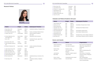## Research Fellows

| <b>Name</b>           |                               | Origin               | <b>Dates</b> | <b>Subsequent Position</b>             |
|-----------------------|-------------------------------|----------------------|--------------|----------------------------------------|
|                       | 2 Mauro Bravo, M.D.           | Venezuela            | 2018-21      | Anesthesia residency, Cleveland Clinic |
| 3 Hani Essber, M.D.   |                               | Syria                | 2019-        |                                        |
|                       | 4 Ece Yamak Altinpulluk, M.D. | Turkey               | 2019-21      | Faculty, Cerrahpasa Medical School     |
|                       | 5 Andrew Volio, D.O.          | <b>United States</b> | 2019-21      | Internal medicine residency,           |
|                       |                               |                      |              | Ohio State                             |
|                       | 6 Ahmed Algharrash, M.D.      | Saudi Arabia         | 2019-21      | Fellowship, McGill University          |
|                       | Omer Bakal, M.D.              | Turkey               | 2019-        |                                        |
| 7 Kai Li, M.D.        |                               | China                | 2019-21      | Anesthesia Faculty, Japan-China        |
|                       |                               |                      |              | <b>Union Hosp</b>                      |
|                       | 8 Esra Kutlu Yalcin, M.D.     | Turkey               | 2019-        |                                        |
|                       | 9 Fabio Rodriguez Patarryo,   | Colombia             | 2019-        |                                        |
| M.D.                  |                               |                      |              |                                        |
|                       | 10 Ahmed Al Gharrash, M.D.    | Saudi Arabia         | 2020-21      | Cardiac anesthesia fellowship,         |
|                       |                               |                      |              | <b>McGill Univ</b>                     |
|                       | 11 Jorge Araujo Duran, M.D.   | Colombia             | 2020-        |                                        |
|                       | 12 Mateo Montalvo, M.D.       | Ecuador              | 2020-        |                                        |
|                       | 13 Sinem Sari Ozturk, M.D.    | Turkey               | 2020-21      |                                        |
|                       | 14 Momina Sharif Umair, M.D.  | Pakistan             | 2020-21      |                                        |
|                       | 15 Jeevan Shivakumar, M.D.    | India                | 2020-21      |                                        |
|                       | 16 Marc Schmidt, M.D.         | Switzerland          | 2020-21      | Anesthesia faculty, University of Zu-  |
|                       |                               |                      |              | rich                                   |
| 17 Tyler Karras, M.D. |                               | <b>USA</b>           | 2021-22      | Anesthesia residency, Alleghany        |
|                       |                               |                      |              | Health                                 |

| <b>Name</b>         | Honor                            | Organization                     |
|---------------------|----------------------------------|----------------------------------|
|                     |                                  |                                  |
| Hesham Elsharkawy   | Associate Editor                 | Reg Anesth Pain Management       |
| Ashish Khanna       | Vice-chair for research          | Wake Forest, Department of       |
|                     |                                  | Anesthesia                       |
| Sanchit Ahuja       | Resident scholar                 | FAER                             |
| Juan Cata           | Vice-chair for Clinical          | Dept of Anesthesiology, MD       |
|                     | Research                         | Anderson                         |
| Jack Brooker        | 2nd Place, resident research     | Ohio Society of Anesthesia       |
| <b>Brian Ilfeld</b> | Labat Award                      | American Society of Regional     |
|                     |                                  | Anesthesia                       |
| Priya A. Kumar      | <b>Outstanding Service Award</b> | UNC Anesthesiology               |
| Athanasios Chalkias | Associate Editor                 | Frontiers in Medicine, Intensive |
|                     |                                  | Care & Anesthesiology            |

## Honors and Awards

| <b>Name</b>               | Origin     | <b>Dates</b> | <b>Subsequent Position</b>                  |
|---------------------------|------------|--------------|---------------------------------------------|
|                           |            |              |                                             |
| 1 Alexis Skolaris, B.S.   | <b>USA</b> | 2019-21      |                                             |
| 2 David Lynn, B.S.        | <b>USA</b> | 2020-20      | Coordinator, Taussig Cancer Center          |
| 3 David Hoying, B.S.      | <b>USA</b> | 2020-21      |                                             |
| 4 Oguzalp Turan, M.S.     | <b>USA</b> | 2020-21      | Northeast Ohio Medical School               |
| 5 Stephanie Ezeoke, B.S.  | <b>USA</b> | $2021 -$     |                                             |
| 6 Kiran Winemiller, B.S.  | <b>USA</b> | 2021-22      | Case Western Dental School                  |
| 7 Anne Cipraini, B.S.     | <b>USA</b> | 2021-22      | Case Western Medical School                 |
| 8 Nicole Brown, B.S.      | <b>USA</b> | $2021 -$     |                                             |
| 9 Metabel Markwei, B.S.   | <b>USA</b> | 2020-21      | Cleveland Clinic Lerner College of Medicine |
| <b>10 Rod Nault, B.S.</b> | <b>USA</b> | 2020-21      | Case Western Research School of Medicine    |

## Graduate and Medical Students (full year)

| 18 Eitan Scher, M.D.          | Venezuela | 2021-    |
|-------------------------------|-----------|----------|
| 19 Jack Booker, M.D.          | Scotland  | $2021 -$ |
| 20 Federico A. Cardenas, M.D. | Colombia  | 2021-    |
| 21 Elyad Ekrami, M.D.         | Iran      | 2020-    |
| 22 Orkun Kopac, M.D.          | Turkey    | $2021 -$ |
| 23 Gokhan Sertcacilar, M.D.   | Turkey    | $2021 -$ |
| 24 Yasin Tire, M.D.           | Turkey    | 2021-    |



Chief Fellow Esra Kutlu Yalcin, M.D. 2021-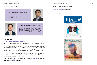## Consortium Research Awards

## Publications

The Gladys Sessler Prize is an endowed award that is given yearly. All members of the OUTCOMES RESEARCH Consortium are eligible. This year's award was to Prof. Kamal Maheshwari.





An article by Pagel and Hudetz (BMC Anesthesiology 12:5, 2012) evaluated anesthesia publication trends. In 2010, the last year they report, there were 665 clinical research articles published in the most influential anesthesia journals: *Anesthesiology, the British Journal of Anaesthesia, Anesthesia & Analgesia, Anaesthesia and the European Journal of Anaesthesia.* The Consortium publishes about 40 papers per year in the 14 journals they considered. The OUTCOME RESEARCH Consortium thus publishes more than at least 4% of the clinical research in high-profile general anesthesia journals. Of note, the Consortium also publishes nearly as many papers in specialty journals ranging from pain to critical care to neuroscience, and in major multi-specialty journals. Overall, the Consortium publishes a full paper every  $2.5$  days.

The Best Fellow Award is given to the Department of OUTCOMES RESEARCH fellow who is voted by the faculty to have performed at the very highest level. This year's award was given to Mauro Bravo who was Chief Fellow before starting anesthesia residency at the Cleveland Clinic.

## *Contribution to the World's Literature*

Since inception, the Consortium has published 1,600 full papers and more than 80 editorials.

## *Featured on journal covers this year*









<https://www.dropbox.com/sh/rbp3a7p81oio4ly/AAAFanZEIQOpJbXStHkcRnPya?dl=0> (alphabetical) or

## Links to PDF versions of most full papers. <http://www.or.org/bibliography/> (chronological).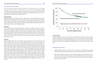## *This Year's Featured Paper*

Du YT, Li YW, Zhao BJ, Guo XY, Feng Y, Zuo MZ, Fu C, Zhou WJ, Li HJ, Liu YF, Cheng T, Mu DL, Zeng Y, Liu PF, Li Y, An HY, Zhu SN, Li XY, Li HJ, Wu YF, Wang DX, Sessler DI, Peking University Clinical Research Program Study Group: Long-term survival after combined epidural-general anesthesia or general anesthesia alone: Follow-up of a randomized trial. Anesthesiology 2021; 135: 233-45.

## BACKGROUND

Experimental and observational research suggests that combined epidural-general anesthesia may improve long-term survival after cancer surgery by reducing anesthetic and opioid consumption and by blunting surgery-related inflammation. This study therefore tested the primary hypothesis that combined epidural-general anesthesia improves long-term survival in elderly patients.

## **METHODS**

Among 1,802 patients who were enrolled and randomized in the underlying trial, 1,712 were included in the long-term analysis; 92% had surgery for cancer. The median follow-up duration was 66 months (interquartile range, 61 to 80). Among patients assigned to combined epidural-general anesthesia, 355 of 853 (42%) died compared with 326 of 859 (38%) deaths in patients assigned to general anesthesia alone: adjusted hazard ratio, 1.07; 95% CI, 0.92 to 1.24; P = 0.408. Cancer-specific survival was similar with combined epidural-general anesthesia (327 of 853 [38%]) and general anesthesia alone (292 of 859 [34%]): adjusted hazard ratio, 1.09; 95% CI, 0.93 to 1.28; P = 0.290. Recurrence-free survival was 401 of 853 [47%] for patients who had combined epidural-general anesthesia versus 389 of 859 [45%] with general anesthesia alone: adjusted hazard ratio, 0.97; 95% CI, 0.84 to 1.12;  $P = 0.692$ . Event-free survival was 466 of 853 [55%] in patients who had combined epidural-general anesthesia versus 450 of 859 [52%] for general anesthesia alone: adjusted hazard ratio, 0.99; 95% CI, 0.86 to 1.12; P  $= 0.815.$ 



## **CONCLUSIONS**

This article presents a long-term follow-up of patients enrolled in a previous trial conducted at five hospitals. Patients aged 60 to 90 yr and scheduled for major noncardiac thoracic and abdominal surgeries were randomly assigned to either combined epidural-general anesthesia with postoperative epidural analgesia or general anesthesia alone with postoperative intravenous analgesia. The primary outcome was overall postoperative survival. Secondary outcomes included cancer-specific, recurrence-free, and event-free survival.

## RESULTS

Abdelmalak BB, Doyle DJ: Updates and controversies in anesthesia for advanced interventional pulmonology procedures. Curr Opin Anaesthesiol 2021; 34: 455-63

Aghamelu O, Buggy P, Smith G, Inzitari R, Wall T, Buggy DJ: Serum NETosis expres-2 sion and recurrence risk after regional or volatile anaesthesia during breast cancer surgery: A pilot, prospective, randomised single-blind clinical trial. Acta Anaesthe-

- 1
- siol Scand 2021; 65: 313-9

General anesthesia alone 

Adjusted hazard ratio 0.98, 95% CI 0.85-1.13; P=0.78

| 48 | 60                 | 72 | 84 |  |
|----|--------------------|----|----|--|
|    | er Surgery (month) |    |    |  |

In elderly patients having major thoracic and abdominal surgery, combined epidural-general anesthesia with epidural analgesia did not improve overall or cancer-specific long-term mortality. Nor did epidural analgesia improve recurrence-free survival. Either approach can therefore reasonably be selected based on patient and clinician preference.

## *Publilshed Full Papers*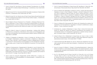- 3 Arora H, Kumar PA: Case Series of Vacuum-Assisted Thrombectomy: An Acceptable Trade-Off in Evidence-Based Methodology? J Cardiothorac Vasc Anesth 2021; 35: 1046-8
- Bhatia M, Kumar PA: Pro: Venoarterial ECMO Should Be Considered in Patients With COVID-19. J Cardiothorac Vasc Anesth 2021; 35: 703-6 4
- Bhatia M, Kumar PA: Con: Routine Use of Fresh Frozen Plasma Should Not Be Used to Prime Cardiopulmonary Bypass Circuits During Cardiac Surgery. J Cardiothorac Vasc Anesth 2021; 35: 3122-4 5
- Bravo M, Bakal O, Rivas E, Mascha EJ, Pu X, Mosteller L, Rodriguez-Patarroyo F, Essber H, AlGharrash A, Turan A: Effect of intravenous acetaminophen on mean arterial blood pressure: A post hoc analysis of the effect of intravenous acetaminophen on postoperative hypoxemia after abdominal surgery trial. Anesth Analg 2021; 133: 1532-9 6
- Buggy DJ, Nolan R, Coburn M, Columb M, Hermanides J, Hollman MW, Zarbock A: Protocol for a prospective, international cohort study on the Management and Outcomes of Perioperative Care among European Diabetic Patients (MOPED). BMJ Open 2021; 11: e044394 7
- Chalkias A, Mongardon N, Boboshko V, Cerny V, Constant AL, De Roux Q, Finco G, Fumagalli F, Gkamprela E, Legriel S, Lomivorotov V, Magliocca A, Makaronis P, Mamais I, Mani I, Mavridis T, Mura P, Ristagno G, Sardo S, Papagiannakis N, Xanthos T, Consortium P: Clinical practice recommendations on the management of perioperative cardiac arrest: A report from the PERIOPCA Consortium. Crit Care 2021; 25: 265 8
- Chalkias A, Pantazopoulos I, Papagiannakis N, Skoulakis A, Laou E, Kolonia K, Ntalarizou N, Tourlakopoulos K, Pagonis A, Kampolis C, De Guadiana Romualdo LG, Ragias D, Eugen-Olsen J, Gourgoulianis K, Arnaoutoglou E, Investigators S: Sinus bradycardia is associated with poor outcome in critically ill patients with COVID-19 due to the B.1.1.7 Lineage. Toxicol Rep 2021; 8: 1394-8 9
- 10 Chen X, Owen CA, Huang EC, Maggard BD, Latif RK, Clifford SP, Li J, Huang J: Artificial intelligence in echocardiography for anesthesiologists. J Cardiothorac Vasc Anesth 2021; 35: 251-61

12 Chow JH, Khanna AK, Kethireddy S, Yamane D, Levine A, Jackson AM, McCurdy MT, Tabatabai A, Kumar G, Park P, Benjenk I, Menaker J, Ahmed N, Glidewell E, Presutto E, Cain S, Haridasa N, Field W, Fowler JG, Trinh D, Johnson KN, Kaur A, Lee A, Sebastian K, Ulrich A, Pena S, Carpenter R, Sudhakar S, Uppal P, Fedeles BT, Sachs A, Dahbour L, Teeter W, Tanaka K, Galvagno SM, Herr DL, Scalea TM, Mazzeffi MA: Aspirin use is associated with decreased mechanical ventilation, intensive care unit admission, and in-hospital mortality in hospitalized patients with coronavirus dis-

13 Chow JH, Wittwer ED, Wieruszewski PM, Khanna AK: Evaluating the evidence for angiotensin II for the treatment of vasoplegia in critically ill cardiothoracic surgery

14 Christensen AL, Jacobs E, Maheshwari K, Xing F, Zhao X, Simon SE, Domino KB, Posner KL, Stewart AF, Sanford JA, Sessler DI: Development and evaluation of a risk-adjusted measure of intraoperative hypotension in patients having nonemer-

16 Cutler NS, Rasmussen BM, Bredeck JF, Lata AL, Khanna AK: Angiotensin II for critically ill patients with shock after heart transplant. J Cardiothorac Vasc Anesth 2021;

17 Douin DJ, Krause M, Williams C, Tanabe K, Fernandez-Bustamante A, Quaye AN, Ginde AA, Bartels K: Corticosteroid administration and impaired glycemic control in mechanically ventilated covid-19 patients. Semin Cardiothorac Vasc Anesth 2021:

18 Du YT, Li YW, Zhao BJ, Guo XY, Feng Y, Zuo MZ, Fu C, Zhou WJ, Li HJ, Liu YF, Cheng T, Mu DL, Zeng Y, Liu PF, Li Y, An HY, Zhu SN, Li XY, Li HJ, Wu YF, Wang DX, Sessler DI, Peking University Clinical Research Program Study Group: Long-term survival after combined epidural-general anesthesia or general anesthesia alone: Follow-up

Chin KJ, Versyck B, Elsharkawy H, Rojas Gomez MF, Sala-Blanch X, Reina MA: Ana-11 tomical basis of fascial plane blocks. Reg Anesth Pain Med 2021; 46: 581-99

Cohen B, Rivas E, Pu X, Maheshwari K, Araujo-Duran JA, Turan O, Volio A, Yalcin 15 EK, Turan A: Diurnal blood pressure variation in adults after abdominal surgery-An

- 
- ease 2019. Anesth Analg 2021; 132: 930-41
- patients. J Thorac Cardiovasc Surg 2021
- gent, noncardiac surgery. Anesth Analg 2021; 133: 445-54
- observational cohort study. J Clin Anesth 2021; 77: 110633
- 35: 2756-62
- 10892532211043313
- of a randomized trial. Anesthesiology 2021; 135: 233-45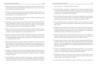- 19 Duarte P, Riveros-Perez E: Understanding the cycles of COVID-19 incidence: Principal Component Analysis and interaction of biological and socio-economic factors. Annals of Medicine and Surgery 2021; 66
- 20 Efrimescu CI, Buggy PM, Buggy DJ: Neutrophil Extracellular Trapping Role in Cancer, Metastases, and Cancer-Related Thrombosis: a Narrative Review of the Current Evidence Base. Curr Oncol Rep 2021; 23: 118
- 21 Elsharkawy H: The external oblique intercostal block: Anatomic evaluation and case series. Pain Medicine 2021; 22: 2436-42
- Elsharkawy H, Ahuja S, Sessler DI, Maheshwari K, Mao G, Sakr Esa WA, Soliman LM, 22 Ayad S, Khoshknabi D, Khan MZ, Raza S, DeGrande S, Turan A: Subcostal anterior quadratus lumborum block versus epidural block for analgesia in open nephrectomy: A randomized clinical trial. Anesth Analg 2021; 132: 1138-45
- 23 Essber H, Cohen B, Artis AS, Leung SM, Maheshwari K, Khan MZ, Sessler DI, Turan A, Ruetzler K: Renal injury after open versus laparoscopic non-cardiac surgery: a retrospective cohort analysis. Braz J Anesthesiol 2021; 71: 50-7
- 24 Evered LA, Chan MTV, Han R, Chu MHM, Cheng BP, Scott DA, Pryor KO, Sessler DI, Veselis R, Frampton C, Sumner M, Ayeni A, Myles PS, Campbell D, Leslie K, Short TG: Anaesthetic depth and delirium after major surgery: a randomised clinical trial. Br J Anaesth 2021; 127: 704-12
- 25 Farag E, Rivas E, Bravo M, Hussain S, Argalious M, Khanna S, Seif J, Pu X, Mao G, Bain M, Elgabaly M, Esa WAS, Sessler DI: Sugammadex versus neostigmine for reversal of rocuronium neuromuscular block in patients having catheter-based neurointerventional procedures: A randomized trial. Anesthesia & Analgesia 2021; 132: 1666-76
- 26 Farragher J, Pranata A, El-Ansary D, Parry S, Williams G, Royse C, Royse A, O'Donohue M, Bryant A: Reliability of lumbar multifidus and iliocostalis lumborum thickness and echogenicity measurements using ultrasound imaging. Australas J Ultrasound Med 2021; 24: 151-60
- 27 Flick M, Briesenick L, Peine S, Scheeren TWL, Duranteau J, Saugel B: The effect of moderate intraoperative blood loss and norepinephrine therapy on sublingual microcirculatory perfusion in patients having open radical prostatectomy: An obser-

28 Flick M, Matin Mehr J, Briesenick L, Hoppe P, Kouz K, Vokuhl C, Flotzinger D, Lerche K, Saugel B: Agreement between continuous noninvasive finger cuff-derived and invasive arterial blood pressure measurements: Effect of data sampling and data

29 Flick M, Schumann R, Hoppe P, Bonney I, Wesselink W, Saugel B: Non-invasive measurement of pulse pressure variation using a finger-cuff method in obese patients having laparoscopic bariatric surgery. J Clin Monit Comput 2021; 35: 1341-7

30 Fortin J, Rogge DE, Fellner C, Flotzinger D, Grond J, Lerche K, Saugel B: A novel art of continuous noninvasive blood pressure measurement. Nature Communications

31 Gaglani B, Westphal ND, Bryant C, Gaillard JP, Vishneski SR, Gibbs KW, Khanna AK: An 18-year-old survivor with a body mass index of 73.9 kg/m2 on venovenous extracorporeal membrane oxygenation for coronavirus disease 2019: A collaborative

32 Galluccio F, Fajardo Perez M, Yamak Altinpulluk E, Hou JD, Lin JA: Evaluation of interfascial plane and pericapsular nerve blocks to the shoulder joint: A preliminary

33 Gonzalez-Arnay E, Galluccio F, Perez-Santos I, Merlano-Castellanos S, Banon-Boulet E, Jimenez-Sanchez L, Rivier-Julien C, Barrueco-Fernandez M, Olea MS, Yamak-Altinpulluk E, Teles AS, Fajardo-Perez M: Permeable spaces between glenohumeral ligaments as potential gateways for rapid regional anesthesia of the shoulder. Ann

34 Gregory A, Stapelfeldt WH, Khanna AK, Smischney NJ, Boero IJ, Chen Q, Stevens M, Shaw AD: Intraoperative hypotension is associated with adverse clinical out-

35 Hamadnalla H, Sessler DI, Troianos CA, Fang J, Rivas E, Ma C, Mascha EJ, Turan A: Optimal interval and duration of CAM-ICU assessments for delirium detection after

36 Hammer GB, Khanna AK, Michalsky C, Wase L, Demitrack MA, Little R, Fossler MJ,

vational study. Eur J Anaesthesiol 2021; 38: 459-67

- processing. Eur J Anaesthesiol 2021; 38: 616-24
- 
- 2021; 12: 1387
- multidisciplinary effort. Critical Care Explorations 2021; 3
- analysis of shoulder anterior capsular block. Pain Ther 2021; 10: 1741-54
- Anat 2021; 239: 151814
- comes after noncardiac surgery. Anesth Analg 2021; 132: 1654-65
- cardiac surgery. J Clin Anesth 2021; 71: 110233
-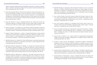Ayad S: Oliceridine exhibits improved tolerability compared to morphine at equianalgesic conditions: Exploratory analysis from two phase 3 randomized placebo and active controlled trials. Pain Ther 2021

- 37 Healy DW, Cloyd BH, Straker T, Brenner MJ, Damrose EJ, Spector ME, Saxena A, Atkins JH, Ramamurthi RJ, Mehta A, Aziz MF, Cattano D, Levine AI, Schechtman SA, Cavallone LF, Abdelmalak BB: Expert consensus statement on the perioperative management of adult patients undergoing head and neck surgery and free tissue reconstruction from the Society for Head and Neck Anesthesia. Journal of Head & Neck Anesthesia 2021; 5: e39-e
- 38 Hijazi RM, Sessler DI, Liang C, Rodriguez-Patarroyo FA, Soltesz EG, Duncan AE: Association between in-hospital mortality and low cardiac output syndrome with morning versus afternoon cardiac surgery. Anesthesiology 2021; 134: 552-61
- 39 Hong H, Zhang DZ, Li M, Wang G, Zhu SN, Zhang Y, Wang DX, Sessler DI: Impact of dexmedetomidine supplemented analgesia on delirium in patients recovering from orthopedic surgery: A randomized controlled trial. BMC Anesthesiol 2021; 21: 223
- 40 Hoppe P, Gleibs F, Briesenick L, Joosten A, Saugel B: Estimation of pulse pressure variation and cardiac output in patients having major abdominal surgery: a comparison between a mobile application for snapshot pulse wave analysis and invasive pulse wave analysis. J Clin Monit Comput 2021; 35: 1203-9
- 41 Ilfeld BM, Eisenach JC, Gabriel RA: Clinical effectiveness of liposomal bupivacaine administered by infiltration or peripheral nerve block to treat postoperative pain. Anesthesiology 2021; 134: 283-344
- 42 Ilfeld BM, Khatibi B, Maheshwari K, Madison SJ, Ali Sakr Esa W, Mariano ER, Kent ML, Hanling S, Sessler DI, Eisenach JC, Cohen SP, Mascha EJ, Yang D, Padwal JA, Turan A, Investigators PA: Immediate effects of a continuous peripheral nerve block on postamputation phantom and residual limb pain: Secondary outcomes from a multicenter randomized controlled clinical trial. Anesth Analg 2021; 133: 1019-27
- 43 Ilfeld BM, Khatibi B, Maheshwari K, Madison SJ, Esa WAS, Mariano ER, Kent ML, Hanling S, Sessler DI, Eisenach JC, Cohen SP, Mascha EJ, Ma C, Padwal JA, Turan A, Investigators PA: Ambulatory continuous peripheral nerve blocks to treat postamputation phantom limb pain: a multicenter, randomized, quadruple-masked, placebo-controlled clinical trial. Pain 2021; 162: 938-55

44 Ilfeld BM, Plunkett A, Vijjeswarapu AM, Hackworth R, Dhanjal S, Turan A, Cohen SP, Eisenach JC, Griffith S, Hanling S, Sessler DI, Mascha EJ, Yang D, Boggs JW, Wongsarnpigoon A, Gelfand H, Investigators PA: Percutaneous peripheral nerve stimulation (neuromodulation) for postoperative pain: A randomized, sham-controlled

45 Ince I, Ari MA, Dostbil A, Yalcin EK, Ozmen O, Khan MZ, Shimada T, Aksoy M, Tuncer K: Does local anesthetic temperature affect the onset and duration of ultrasound-guided infraclavicular brachial plexus nerve block?: a randomized clinical

46 Ince I, Chiu A, Sagir A, Chahar P, Lin J, Douglas A, Adi A, Fang J, Mao G, Turan A: Association of pain with atrial fibrillation and delirium after cardiac surgery: A decade

47 Itenov TS, Sessler DI, Khanna AK, Ostrowski SR, Johansson PI, Erikstrup C, Pedersen OB, Rygård SL, Holst LB, Bestle MH, Hein L, Lindhardt A, Tousi H, Andersen MH, Mohr T, Lundgren JD, Jensen J-U: ABO blood types and sepsis mortality. Annals of

48 Jiang Q, Kurz A, Zhang X, Liu L, Yang D, Sessler DI: Supplemental intraoperative oxygen and long-term mortality: Subanalysis of a multiple crossover cluster trial.

49 Joosten A, Lucidi V, Ickx B, Van Obbergh L, Germanova D, Berna A, Alexander B, Desebbe O, Carrier FM, Cherqui D, Adam R, Duranteau J, Saugel B, Vincent JL, Rinehart J, Van der Linden P: Intraoperative hypotension during liver transplant surgery is associated with postoperative acute kidney injury: a historical cohort study. BMC

50 Juhasz M, Pall D, Fulesdi B, Molnar L, Vegh T, Molnar C: The effect of propofol-sufentanil intravenous anesthesia on systemic and cerebral circulation, cerebral autoregulation and CO2 reactivity: a case series. Braz J Anesthesiol 2021; 71: 558-64

51 Karamchandani K, Wheelwright J, Yang AL, Westphal ND, Khanna AK, Myatra SN: Emergency Airway Management Outside the Operating Room: Current Evidence

- pilot study. Anesthesiology 2021; 135: 95-110
- trial. Braz J Anesthesiol 2021; 71: 376-80
- sub-study. J Cardiothorac Vasc Anesth 2021; 35: 3021-6
- Intensive Care 2021; 11
- Anesthesiology 2021; 134: 709-21
- Anesthesiol 2021; 21: 12
- 
- and Management Strategies. Anesth Analg 2021; 133: 648-62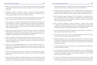- 52 Katabi LJ, Pu X, Yilmaz HO, Jia Y, Leung S, Duncan AE: Prognostic utility of KIDGO urine output criteria after cardiac surgery. J Cardiothorac Vasc Anesth 2021; 35: 2991-3000
- 53 Katijjahbe MA, Royse C, Granger C, Denehy L, Md Ali NA, Abdul Rahman MR, King-Shier K, Royse A, El-Ansary D: Location and Patterns of Persistent Pain Following Cardiac Surgery. Heart Lung Circ 2021; 30: 1232-43
- 54 Kaw R, Wong J, Mokhlesi B: Obesity and obesity hypoventilation, sleep hypoventilation, and postoperative respiratory failure. Anesth Analg 2021; 132: 1265-73
- 55 Khan JS, Sessler DI, Chan MTV, Wang CY, Garutti I, Szczeklik W, Turan A, Busse JW, Buckley DN, Paul J, McGillion M, Fernandez-Riveira C, Srinathan SK, Shanthanna H, Gilron I, Jacka M, Jackson P, Hankinson J, Paniagua P, Pettit S, Devereaux PJ: Persistent incisional pain after noncardiac surgery: An international prospective cohort study. Anesthesiology 2021
- 56 Khanna AK, Jungquist CR, Buhre W, Soto R, Di Piazza F, Saager L, Investigators PRoO-irDIpmbcG: Modeling the cost savings of continuous pulse oximetry and capnography monitoring of united states general care floor patients receiving opioids based on the PRODIGY Trial. Adv Ther 2021; 38: 3745-59
- 57 Khanna AK, Saager L, Bergese SD, Jungquist CR, Morimatsu H, Uezono S, Ti LK, Soto R, Jiang W, Buhre W: Opioid-induced respiratory depression increases hospital costs and length of stay in patients recovering on the general care floor. BMC Anesthesiology 2021; 21: 88
- 58 Khanna AK, Shaw AD, Stapelfeldt WH, Boero IJ, Chen Q, Stevens M, Gregory A, Smischney NJ: Postoperative hypotension and adverse clinical outcomes in patients without intraoperative hypotension, after noncardiac surgery. Anesth Analg 2021; 132: 1410-20
- 59 Kim KK, Krause M, Brandes IF, Khanna AK, Bartels K: Transesophageal echocardiography for perioperative management in thoracic surgery. Curr Opin Anaesthesiol 2021; 34: 7-12
- 60 Klijian A, Khanna AK, Reddy VS, Friedman B, Ortoleva J, Evans AS, Panwar R, Kroll S, Greenfeld CR, Chatterjee S: Treatment with angiotensin II is associated with rapid blood pressure response and vasopressor sparing in patients with vasoplegia after

61 Komatsu R, Yilmaz HO, Makarova N, Turan A, Sessler DI, Rajan S, Argalious M: Association between preoperative statin use and respiratory complications after noncardiac surgery: A retrospective cohort analysis. Anesth Analg 2021; 133: 123-32

62 Kouz K, Hoppe P, Reese P, Burfeindt C, Flick M, Briesenick L, Nitzschke R, Pinnschmidt H, Saugel B: Relationship between intraoperative and preoperative ambulatory nighttime heart rates: A secondary analysis of a prospective observational

63 Kouz K, Michard F, Bergholz A, Vokuhl C, Briesenick L, Hoppe P, Flick M, Schon G, Saugel B: Agreement between continuous and intermittent pulmonary artery thermodilution for cardiac output measurement in perioperative and intensive care

64 Kouz K, Scheeren TWL, de Backer D, Saugel B: Pulse wave analysis to estimate car-

65 Kutlu Yalcin E, Araujo-Duran J, Turan A: Emerging drugs for the treatment of post-

66 Lee MJ, Tannenbaum C, Mao G, Jia Y, Leung S, Yilmaz HO, Ince I, Soltesz E, Duncan AE: Effect of 6% hydroxyethyl starch 130/0.4 on inflammatory response and pulmonary function in patients having cardiac surgery: A randomized clinical trial. Anesth

68 Li L, Chamoun GF, Chamoun NG, Sessler D, Gopinath V, Saini V: Elucidating the association between regional variation in diagnostic frequency with risk-adjusted mortality through analysis of claims data of medicare inpatients: a cross-sectional

69 Li YW, Li HJ, Li HJ, Zhao BJ, Guo XY, Feng Y, Zuo MZ, Yu YP, Kong H, Zhao Y, Huang D, Deng CM, Hu XY, Liu PF, Li Y, An HY, Zhang HY, Wang MR, Wu YF, Wang DX, Sessler DI, Peking University Clinical Research Program Study G: Delirium in older pa-

cardiac surgery: A post-hoc analysis of angiotensin ii for the treatment of high-output shock (athos-3) study. J Cardiothorac Vasc Anesth 2021; 35: 51-8

- 
- study. Anesth Analg 2021; 133: 406-12
- medicine: a systematic review and meta-analysis. Crit Care 2021; 25: 125
- diac output. Anesthesiology 2021; 134: 119-26
- surgical pain. Expert Opin Emerg Drugs 2021; 26: 371-84
- Analg 2021; 133: 906-14
- in sepsis. Biomedicines 2021; 9
- study. BMJ Open 2021; 11: e054632
- 

Leong K, Gaglani B, Khanna AK, McCurdy MT: Novel diagnostics and therapeutics 67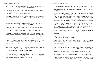**OUTCOMES RESEARCH Consortium** 26 **OUTCOMES RESEARCH Consortium** 27

tients after combined epidural-general anesthesia or general anesthesia for major surgery: A randomized trial. Anesthesiology 2021; 135: 218-32

- 70 Liamsombut S, Kaw R, Wang L, Bena J, Andrews N, Collop N, Stierer T, Gillinov M, Tarler M, Kayyali H, Katzan I, Foldvary-Schaefer N: Predictive value of sleep apnea screenings in cardiac surgery patients. Sleep Med 2021; 84: 20-5
- 71 Maheshwari K: Principles for minimizing oxygen debt: can they translate to clinical application and improve outcomes? Best Pract Res Clin Anaesthesiol 2021; 35: 543- 9
- 72 Maheshwari K, Bakal O, Cummings KC, 3rd, Mao G, Rivas E, Elsharkawy H, Kolli S, Sessler DI, Bhavani S: The effects of diabetes mellitus on gastric emptying: A prospective observational cohort study. J Clin Anesth 2021; 75: 110463
- 73 Maheshwari K, Bakal O, Xuan P, Turan A, Fang J, Esa WAS, Sessler DI, Anand A: Lamotrigine for reducing ketamine-induced psychologic disturbances: A pilot randomized and blinded trial (research letter). J Clin Anesth 2021; 68: 110074
- 74 Maheshwari K, Buddi S, Jian Z, Settels J, Shimada T, Cohen B, Sessler DI, Hatib F: Performance of the Hypotension Prediction Index with non-invasive arterial pressure waveforms in non-cardiac surgical patients. J Clin Monit Comput 2021; 35: 71-8
- 75 Maheshwari K, Malhotra G, Bao X, Lahsaei P, Hand WR, Fleming NW, Ramsingh D, Treggiari MM, Sessler DI, Miller TE, Assisted Fluid Management Study T: Assisted fluid management software guidance for intraoperative fluid administration. Anesthesiology 2021; 135: 273-83
- 76 Maheshwari K, Pu X, Rivas E, Saugel B, Turan A, Schmidt MT, Ruetzler K, Reiterer C, Kabon B, Kurz A, Sessler DI: Association between intraoperative mean arterial pressure and postoperative complications is independent of cardiac index in patients undergoing noncardiac surgery. Br J Anaesth 2021; 127: e102-4
- 77 Mathur P, Cywinski JB, Maheshwari K, Niezgoda J, Mathew J, do Nascimento CC, Abdelmalak BB, Papay FA: Automated analysis of ambulatory surgery patient experience comments using artificial intelligence for quality improvement: A patient centered approach. Intelligence-Based Medicine 2021; 5
- 78 Mazzinari G, Diaz-Cambronero O, Serpa Neto A, Martinez AC, Rovira L, Argente

79 McGillion MH, Parlow J, Borges FK, Marcucci M, Jacka M, Adili A, Lalu MM, Ouellette C, Bird M, Ofori S, Roshanov PS, Patel A, Yang H, O'Leary S, Tandon V, Hamilton GM, Mrkobrada M, Conen D, Harvey V, Lounsbury J, Mian R, Bangdiwala SI, Arellano R, Scott T, Guyatt GH, Gao P, Graham M, Nenshi R, Forster AJ, Nagappa M, Levesque K, Marosi K, Chaudhry S, Haider S, Deuchar L, LeBlanc B, McCartney CJL, Schemitsch EH, Vincent J, Pettit SM, DuMerton D, Paulin AD, Simunovic M, Williams DC, Halman S, Harlock J, Meyer RM, Taylor DA, Shanthanna H, Schlachta CM, Parry N, Pichora DR, Yousuf H, Peter E, Lamy A, Petch J, Moloo H, Sehmbi H, Waggott M, Shelley J, Belley-Cote EP, Devereaux PJ, Investigators P-R-: Post-discharge after surgery Virtual Care with Remote Automated Monitoring-1 (PVC-RAM-1) technology versus

80 Michal Porizka PM, Jiri Votruba, Basem B. Abdelmalak: Extracorporeal oxygenation techniques in adult critical airway obstruction: A review. Prague Medical Report

81 Migirov A, Chahar P, Maheshwari K: Postoperative delirium and neurocognitive dis-

82 Moreno-Duarte I, Evans AS, Alder AC, Vernon MC, Szmuk P, Rebstock S: An unexpected COVID-19 diagnosis during emergency surgery in a neonate. Paediatr An-

83 Moro ET, Pinto PCC, Neto A, Hilkner AL, Salvador LFP, da Silva BRD, Souto IG, Boralli R, Bloomstone J: Quality of recovery in patients under low or standard pressure pneumoperitoneum. a randomised controlled trial. Acta Anaesthesiol Scand 2021

84 Müller-Wirtz LM, Kiefer D, Knauf J, Floss MA, Doneit J, Wolf B, Maurer F, Sessler DI, Volk T, Kreuer S, Fink T: Differential response of pentanal and hexanal exhalation to supplemental oxygen and mechanical ventilation in rats. Molecules 2021; 26: 2752

85 Muller-Wirtz LM, Kiefer D, Maurer F, Floss MA, Doneit J, Huppe T, Shopova T, Wolf B, Sessler DI, Volk T, Kreuer S, Fink T: Volutrauma increases exhaled pentanal in rats: A potential breath biomarker for ventilator-induced lung injury. Anesth Analg 2021;

Navarro MP, Malbrain M, Pelosi P, Gama de Abreu M, Hollmann MW, Schultz MJ: Modeling intra-abdominal volume and respiratory driving pressure during pneumoperitoneum insufflation-a patient-level data meta-analysis. J Appl Physiol (1985) 2021; 130: 721-8

- standard care: randomised controlled trial. BMJ 2021; 374: n2209
- 2021; 122: 61-72
- orders. Curr Opin Crit Care 2021; 27: 686-93
- aesth 2021; 31: 613-5
- 
- 
-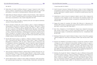## 133: 263-73

- 86 Muller-Wirtz LM, Kiefer D, Ruffing S, Brausch T, Huppe T, Sessler DI, Volk T, Fink T, Kreuer S, Maurer F: Quantification of volatile aldehydes deriving from in vitro lipid peroxidation in the breath of ventilated patients. Molecules 2021; 26: 3089
- 87 Muller-Wirtz LM, Maurer F, Brausch T, Kiefer D, Floss M, Doneit J, Volk T, Sessler DI, Fink T, Lehr T, Kreuer S: Exhaled propofol concentrations correlate with plasma and brain tissue concentrations in rats. Anesth Analg 2021; 132: 110-8
- 88 Müller-Wirtz LM, Volk T: Big data in studying acute pain and regional anesthesia. Journal of Clinical Medicine 2021; 10
- 89 Nasa P, Azoulay E, Khanna AK, Jain R, Gupta S, Javeri Y, Juneja D, Rangappa P, Sundararajan K, Alhazzani W, Antonelli M, Arabi YM, Bakker J, Brochard LJ, Deane AM, Du B, Einav S, Esteban A, Gajic O, Galvagno SM, Guérin C, Jaber S, Khilnani GC, Koh Y, Lascarrou J-B, Machado FR, Malbrain MLNG, Mancebo J, McCurdy MT, McGrath BA, Mehta S, Mekontso-Dessap A, Mer M, Nurok M, Park PK, Pelosi P, Peter JV, Phua J, Pilcher DV, Piquilloud L, Schellongowski P, Schultz MJ, Shankar-Hari M, Singh S, Sorbello M, Tiruvoipati R, Udy AA, Welte T, Myatra SN: Expert consensus statements for the management of COVID-19-related acute respiratory failure using a Delphi method. Critical Care 2021; 25: 106
- 90 Neuman MD, Feng R, Carson JL, Gaskins LJ, Dillane D, Sessler DI, Sieber F, Magaziner J, Marcantonio ER, Mehta S, Menio D, Ayad S, Stone T, Papp S, Schwenk ES, Elkassabany N, Marshall M, Jaffe JD, Luke C, Sharma B, Azim S, Hymes RA, Chin KJ, Sheppard R, Perlman B, Sappenfield J, Hauck E, Hoeft MA, Giska M, Ranganath Y, Tedore T, Choi S, Li J, Kwofie MK, Nader A, Sanders RD, Allen BFS, Vlassakov K, Kates S, Fleisher LA, Dattilo J, Tierney A, Stephens-Shields AJ, Ellenberg SS, Regain Investigators: Spinal anesthesia or general anesthesia for hip surgery in older adults. N Engl J Med 2021; 385: 2025-35
- 91 Oliver-Fornies P, Espinosa Morales K, Fajardo-Perez M, Salazar-Zamorano CH, Yamak-Altinpulluk E, Vilches LV, Urena RA, Aragon-Benedi C, Lopez Arribas I, Centeno-Perez A, Llavador JJ, Galluccio F: Modified supraclavicular approach to brachial plexus block (research letter). J Clin Anesth 2021; 76: 110585
- 92 Onal M, Keles B, Erdur O, Alatas N, Onal O: Effect of hypertonic saline during flexible nasopharyngeal laryngoscopy: A double-blinded, randomized, controlled trial.

93 Onal M, Kocak N, Duymus F, Bozkurt MK, Elsurer C, Erdur O, Onal O: Relationship of endoplasmic reticulum stress with the etiopathogenesis of chronic tonsillitis and tonsillar hypertrophy in pediatric patients: a prospective, parallel-group study. Mol

94 Ozdemirkan A, Onal O, Ozcan IG, Aslanlar E, Saltali A, Sari M, Ciftci C, Bayram HH: Comparison of the intubation success rate between the intubating catheter and videolaryngoscope in difficult airways: a prospective randomized trial. Braz J An-

95 Pappas MA, Sessler DI, Auerbach AD, Kattan MW, Milinovich A, Blackstone EH, Rothberg MB: Variation in preoperative stress testing by patient, physician and sur-

96 Qiu Y, Wu J, Huang Q, Lu Y, Xu M, Mascha EJ, Yang D, Ince I, Sessler DI: Acute pain after serratus anterior plane or thoracic paravertebral blocks for video-assisted thoracoscopic surgery: A noninferiority randomised trial. Eur J Anaesthesiol 2021;

97 Rodriguez-Patarroyo FA, Cuello N, Molloy R, Krebs V, Turan A, Piuzzi NS: A guide to regional analgesia for Total Knee Arthroplasty. EFORT Open Reviews 2021; 6: 1181-

98 Roshanov PS, Eikelboom JW, Sessler DI, Kearon C, Guyatt GH, Crowther M, Tandon V, Borges FK, Lamy A, Whitlock R, Biccard BM, Szczeklik W, Panju M, Spence J, Garg AX, McGillion M, VanHelder T, Kavsak PA, de Beer J, Winemaker M, Le Manach Y, Sheth T, Pinthus JH, Siegal D, Thabane L, Simunovic MRI, Mizera R, Ribas S, Devereaux PJ: Bleeding Independently associated with mortality after noncardiac Surgery (BIMS): an international prospective cohort study establishing diagnostic cri-

99 Roshanov PS, Guyatt GH, Tandon V, Borges FK, Lamy A, Whitlock R, Biccard BM, Szczeklik W, Panju M, Spence J, Garg AX, McGillion M, Eikelboom JW, Sessler DI, Kearon C, Crowther M, VanHelder T, Kavsak PA, de Beer J, Winemaker M, Le Manach Y, Sheth T, Pinthus JH, Siegal D, Thabane L, Simunovic MRI, Mizera R, Ribas S, Devereaux PJ: Preoperative prediction of bleeding Independently associated with mortality after noncardiac Surgery (BIMS): an international prospective cohort study.

## J Invest Surg 2021; 34: 1264-9

- Biol Rep 2021
- esthesiol 2021
- gical type: a cohort study. BMJ Open 2021; 11
- 38: S97-S105
- 92
- teria and prognostic importance. Br J Anaesth 2021; 126: 163-71
-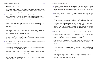Br J Anaesth 2021; 126: 172-80

- 100 Royse AG, Bellomo R, Royse CF, Clarke-Errey S, Boggett S, Kelly T, Paterson HS: Radial Artery vs Bilateral Mammary Composite Y Coronary Artery Grafting: 15-Year Outcomes. Ann Thorac Surg 2021; 111: 1945-53
- 101 Ruetzler K, Smilowitz NR, Berger JS, Devereaux PJ, Maron BA, Newby LK, de Jesus Perez V, Sessler DI, Wijeysundera DN: Diagnosis and management of patients with myocardial injury after noncardiac surgery: A scientific statement from the american heart association. Circulation 2021; 144: e287-e305
- 102 Saab R, Wu BP, Rivas E, Chiu A, Lozovoskiy S, Ma C, Yang D, Turan A, Sessler DI: Failure to detect ward hypoxaemia and hypotension: contributions of insufficient assessment frequency and patient arousal during nursing assessments. Br J Anaesth 2021; 127: 760-8
- 103 Saager L, Ruetzler K, Turan A, Maheshwari K, Cohen B, You J, Mascha EJ, Qiu Y, Ince I, Sessler DI: Do it often, do it better: Association between pairs of experienced subspecialty anesthesia caregivers and postoperative outcomes. A retrospective observational study. Anesth Analg 2021; 132: 866-77
- 104 Sanford EL, Zagory J, Blackwell JM, Szmuk P, Ryan M, Ambardekar A: Changes in pediatric trauma during COVID-19 stay-at-home epoch at a tertiary pediatric hospital. J Pediatr Surg 2021; 56: 918-22
- 105 Sari S, Kumar J, Turan A: New peripheral nerve blocks and local anesthetics. Curr Opin Crit Care 2021; 27: 733-42
- 106 Saynhalath R, Alex G, Efune PN, Szmuk P, Zhu H, Sanford EL: Anesthetic complications associated with severe acute respiratory syndrome coronavirus 2 in pediatric patients. Anesth Analg 2021; 133: 483-90
- 107 Saynhalath R, Khan UH, Alex G, Murphy JT, Szmuk P: Changes in the nociception level index during surgical resection of paragangliomas: A case report. A&A Practice 2021; 15
- 108 Scher EA, Ayad S: Complicated Neuraxial Anesthesia in a Patient With Tethered Spinal Cord. Cureus 2021; 13: e18705

109 Schober P, Mascha EJ, Vetter TR: Statistics from A (agreement) to Z (Z score): A guide to interpreting common measures of association, agreement, diagnostic accuracy, effect size, heterogeneity, and reliability in medical research. Anesth Analg

110 Schumann R, Meidert AS, Bonney I, Koutentis C, Wesselink W, Kouz K, Saugel B: Intraoperative blood pressure monitoring in obese patients. Anesthesiology 2021;

111 Senturk M, El Tahan MR, Shelley B, Szegedi LL, Piccioni F, Licker MJ, Karzai W, Gil MG, Neskovic V, Vanpeteghem C, Pelosi P, Cohen E, Sorbello M, JB MB, Stoica R, Mourisse J, Brunelli A, Jimenez MJ, Drnovsek Globokar M, Yapici D, Morsy AS, Kawagoe I, Vegh T, Navarro-Ripoll R, Marczin N, Paloczi B, Unzueta C, Gregorio GD, Wouters P, Rex S, Mukherjee C, Paternoster G, Guarracino F: Thoracic Anesthesia during the COVID-19 Pandemic: 2021 Updated Recommendations by the European Association of Cardiothoracic Anaesthesiology and Intensive Care (EACTAIC) Thoracic Subspecialty Committee. J Cardiothorac Vasc Anesth 2021; 35: 3528-46

112 Sessler DI: Perioperative temperature monitoring. Anesthesiology 2021; 134: 111-8

113 Sessler DI, Khan MZ, Maheshwari K, Liu L, Adegboye J, Saugel B, Mascha EJ: Blood pressure management by anesthesia professionals: Evaluating clinician skill from

114 Shaylor R, Francis M, Shaylor E, Dadia S, Cohen B: Development and validation of a 3D printed antiviral ventilator filter - a comparative study. BMC Anesthesiol 2021;

115 Shimada T, Cohen B, Shah K, Mosteller L, Bravo M, Ince I, Esa WAS, Cywinski J, Sessler DI, Ruetzler K, Turan A: Associations between intraoperative and post-anesthesia care unit hypotension and surgical ward hypotension. J Clin Anesth 2021;

116 Shopova T, Huppe T, Wolf B, Sessler DI, Volk T, Groesdonk HV, Kreuer S, Maurer F: Quantitative determination of fosfomycin in 10 mul of plasma and dialysate by hydrophilic interaction liquid chromatography electrospray ionization mass spec-

117 Siddiqui S, Bartels K, Schaefer MS, Novack L, Sreedharan R, Ben-Jacob TK, Khanna

- 2021
- 134: 179-88
- 
- 
- electronic medical records. Anesth Analg 2021; 132: 946-56
- 21: 115
- 75: 110495
- trometry. J Chromatogr Sci 2021; 59: 165-74
-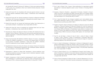AK, Nunnally ME, Souter M, Simmons ST, Williams G: Critical care medicine practice: A pilot survey of us anesthesia critical care medicine-trained physicians. Anesth Analg 2021; 132: 761-9

- 118 Smeltz AM, Kumar PA: Con: Qualitative left ventricular ejection fraction is not sufficient for patients undergoing cardiac surgery. J Cardiothorac Vasc Anesth 2021; 35: 335-8
- Smeltz AM, Kumar PA: Pro: General Anesthesia Is Superior to Regional Anesthesia 119 for Patients with Pulmonary Hypertension Undergoing Noncardiac Surgery. J Cardiothorac Vasc Anesth 2021; 35: 1884-7
- 120 Smeltz AM, Kumar PA: An Unusual Left Ventricular Outflow Tract Obstruction, or Just Another Artifact? J Cardiothorac Vasc Anesth 2021; 35: 1541-3
- 121 Smeltz AM, Kumar PA, Arora H: Anesthesia for Combined Heart and Liver Transplantation. J Cardiothorac Vasc Anesth 2021; 35: 3350-61
- 122 Smischney NJ, Khanna AK, Brauer E, Morrow LE, Ofoma UR, Kaufman DA, Sen A, Venkata C, Morris P, Bansal V: Risk factors for and outcomes associated with peri-intubation hypoxemia: A multicenter prospective cohort study. J Intensive Care Med 2021; 36: 1466-74
- 123 Soneru CN, Fernandez AM, Bradford V, Staffa SJ, Raman VT, Cravero J, Zurakowski D, Meier PM, Pediatric Anesthesia C-C: A survey of the global impact of COVID-19 on the practice of pediatric anesthesia: A study from the pediatric anesthesia COVID-19 Collaborative Group. Paediatr Anaesth 2021; 31: 720-9
- 124 Stapelfeldt WH, Khanna AK, Shaw AD, Shenoy AV, Hwang S, Stevens M, Smischney NJ: Association of perioperative hypotension with subsequent greater healthcare resource utilization. J Clin Anesth 2021; 75: 110516
- 125 Subramanian V, Mascha EJ, Kattan MW: Developing a clinical prediction score: Comparing prediction accuracy of integer scores to statistical regression models. Anesth Analg 2021; 132: 1603-13
- 126 Sulyok I, Camponovo C, Zotti O, Haslik W, Kostenberger M, Likar R, Leuratti C, Donati E, Kimberger O: A randomised, non-inferiority study of chloroprocaine 2% and ropivacaine 0.75% in ultrasound-guided axillary block. Sci Rep 2021; 11: 10035

127 Sun C, Gao H, Zhang Y, Pei L, Huang Y: Risk stratification for organ/space surgical site infection in advanced digestive system cancer. Frontiers in Oncology 2021; 11:

128 Szarpak L, Filipiak KJ, Mosteller L, Jaguszewski M, Smereka J, Ruetzler K, Ahuja S, Ladny JR: Survival, neurological and safety outcomes after out of hospital cardiac arrests treated by using prehospital therapeutic hypothermia: A systematic review

129 Tire Y, Yazar MA, Erdem SS: Can changes in platelet count, mean platelet volume, and platelet distribution width be used to determine the severity of COVID-19?

130 Tripathi S, Sayed IA, Dapul H, McGarvey JS, Bandy JA, Boman K, Kumar VK, Bansal V, Retford L, Cheruku S, Kaufman M, Heavner SF, Danesh VC, St Hill CA, Khanna AK, Bhalala U, Kashyap R, Gajic O, Walkey AJ, Gist KM: Risk factors for critical Coronavirus Disease 2019 and Mortality in Hospitalized Young Adults: An analysis of the Society of Critical Care Medicine Discovery Viral Infection and Respiratory Illness Universal Study (VIRUS) Coronavirus Disease 2019 registry. Crit Care Explor 2021;

131 Tsai CH, van der Burgt J, Vukovic D, Kaur N, Demi L, Canty D, Wang A, Royse A, Royse C, Haji K, Dowling J, Chetty G, Fontanarosa D: Automatic deep learning-based pleural effusion classification in lung ultrasound images for respiratory

132 Turan A, Cohen B, Elsharkawy H, Maheshwari K, Soliman LM, Babazade R, Ayad S, Hassan M, Elkassabany N, Essber HA, Kessler H, Mao G, Esa WAS, Sessler DI, Group ES: Transversus abdominis plane block with liposomal bupivacaine versus continuous epidural analgesia for major abdominal surgery: The EXPLANE randomized

133 Turan A, Cohen B, Rivas E, Liu L, Pu X, Maheshwari K, Farag E, Onal O, Wang J, Ruetzler K, Devereaux PJ, Sessler DI: Association between postoperative haemoglobin and myocardial injury after noncardiac surgery: a retrospective cohort analysis. Br

134 Turan A, Rivas E, Devereaux PJ, Bravo M, Mao G, Cohen B, Maheshwari K, Pu X, Ruetzler K, Li K, Sessler DI: Association between postoperative haemoglobin concen-

- 705335
- and meta-analysis. Am J Emerg Med 2021; 42: 168-77
- Medical Science and Discovery 2021; 8: 581-5
- 3: e0514
- pathology diagnosis. Phys Med 2021; 83: 38-45
- trial. J Clin Anesth 2021; 77: 110640
- J Anaesth 2021; 126: 94-101
-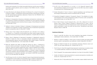trations and composite of non-fatal myocardial infarction and all-cause mortality in noncardiac surgical patients: post hoc analysis of the POISE-2 trial. Br J Anaesth 2021; 126: 87-93

- 135 Urman RD, Khanna AK, Bergese SD, Buhre W, Wittmann M, Le Guen M, Overdyk FJ, Di Piazza F, Saager L: Postoperative opioid administration characteristics associated with opioid-induced respiratory depression: Results from the PRODIGY trial. J Clin Anesth 2021; 70: 110167
- 136 Wadhwa A: Intraoperative intravenous methadone and ketamine combination versus intravenous morphine and ketamine combination for post-operative analgesia in patients undergoing lower extremity fracture surgery. Clinical Research and Clinical Trials 2021; 3: 01-6
- 137 Wallisch C, Zeiner S, Scholten P, Dibiasi C, Kimberger O: Development and internal validation of an algorithm to predict intraoperative risk of inadvertent hypothermia based on preoperative data. Sci Rep 2021; 11: 22296
- 138 Wang C, Gao Y, Tian Y, Wang Y, Zhao W, Sessler DI, Jia Y, Ji B, Diao X, Xu X, Wang J, Li J, Wang S, Liu J: Prediction of acute kidney injury after cardiac surgery from preoperative N-terminal pro-B-type natriuretic peptide. Br J Anaesth 2021; 127: 862-70
- 139 Wang J, Mao G, Malackany N, Marciniak D, Donaldson C, Wakefield B, Hassan M, Ruetzler K, Sessler DI, Turan A: Association between perioperative hypotension and postoperative delirium and atrial fibrillation after cardiac surgery: A post-hoc analysis of the DECADE trial. J Clin Anesth 2021; 76: 110584
- 140 Ward DS, Absalom AR, Aitken LM, Balas MC, Brown DL, Burry L, Colantuoni E, Coursin D, Devlin JW, Dexter F, Dworkin RH, Egan TD, Elliott D, Egerod I, Flood P, Fraser GL, Girard TD, Gozal D, Hopkins RO, Kress J, Maze M, Needham DM, Pandharipande P, Riker R, Sessler DI, Shafer SL, Shehabi Y, Spies C, Sun LS, Tung A, Urman RD: Design of clinical trials evaluating sedation in critically ill adults undergoing mechanical ventilation: Recommendations from sedation consortium on endpoints and procedures for treatment, education, and research (SCEPTER) recommendation III. Crit Care Med 2021; 49: 1684-93
- 141 Wu QF, Kong H, Xu ZZ, Li HJ, Mu DL, Wang DX: Impact of goal-directed hemodynamic management on the incidence of acute kidney injury in patients undergoing partial nephrectomy: a pilot randomized controlled trial. BMC Anesthesiol 2021; 21: 67

142 Xu ZZ, Li HJ, Li MH, Huang SM, Li X, Liu QH, Li J, Li XY, Wang DX, Sessler DI: Epidural anesthesia-analgesia and recurrence-free survival after lung cancer surgery:

143 Yamak Altinpulluk E, Turan A: Future in regional anesthesia: new techniques and

144 Yamashita K, Boggett S, Kodama Y, Tsuneyoshi I, Royse C: The validation of a Japanese language version of the postoperative quality of recovery scale: a prospective

145 Zhu Z, Mei W, Song Z, Jiao W, Huang Q, Zhu L, An C, Shi J, Wang W, Yu G, Sun P, Zhang Y, Shen J, Song Y, Gilbert S, Ruetzler K, Villamizar NR, Xu C, Qian J, Yao W, Yang H: A standard for hilar and intrapulmonary lymph node dissection and pathological examination in early non-small cell lung cancer. Translational Lung Cancer

2 Bartels K, Lobato RL, Bradley CJ: Risk scores to improve quality and realize health economic gains in perioperative care (editorial). Anesth Analg 2021; 133: 606-9

3 Buggy DJ, Riedel B, Sessler DI: Can anaesthetic technique influence cancer out-

4 Flick M, Kouz K, Chew MS, Saugel B: Haemodynamic monitoring in circulatory shock

5 Flick M, Saugel B: The surgical patient (editorial). Curr Opin Crit Care 2021; 27: 668-9

6 Goeller JK, Bartels K: Improving prediction to prevent perioperative morbidity (ed-

7 Khanna AK, Gan TJ: Myocardial injury after noncardiac surgery-slightly heavier may

- A randomized trial. Anesthesiology 2021
- technological advancements. Minerva Anestesiol 2021; 87: 85-100
- observational study. JA Clin Rep 2021; 7: 32
- Research 2021; 10: 4587-99

## *Published Editorials*

- cephalogram indices (editorial). J Clin Anesth 2021; 73: 110358
- 
- come? The next steps (editorial). Br J Anaesth 2021; 127: 5-7
- in a nutshell (editorial). Anaesth Crit Care Pain Med 2021; 41: 101003
- 
- itorial). Br J Anaesth 2021; 127: 671-4
- 

Ahuja S, Luedi MM: Too little or too much anesthesia: Age paradox of electroen-1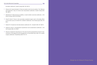**OUTCOMES RESEARCH Consortium** 36

be better (editorial). Anesth Analg 2021; 132: 957-9

- 8 Khanna AK, Karamchandani K: Macrocirculation and microcirculation: The "Batman and Superman" story of critical care resuscitation (editorial). Anesth Analg 2021; 132: 280-3
- 9 Maheshwari K: Blood pressure stability: a road to better outcomes (editorial). J Clin Monit Comput 2021; 35: 679-80
- 10 Onal M, Onal O, Turan A: Can secondary lymphoid organs exert a favorable effect on the mild course of COVID-19 in children? (Editorial). Acta Otolaryngol 2021; 141: 83-4
- 11 Sessler DI: (Im)precise trial descriptions (editorial). Br J Anaesth 2021; 127: 824-5
- 12 Sessler DI, Short T: Intraoperative hypotension and complications (editorial). J Am Coll Cardiol 2021; 78: 1765-7
- 13 Sharma V, Sessler DI, Hausenloy DJ: The role of routine postoperative troponin measurement in the diagnosis and management of myocardial injury after non-cardiac surgery (editorial). Anaesthesia 2021; 76: 11-4

*Design by Iris Wang & Chong Huang*